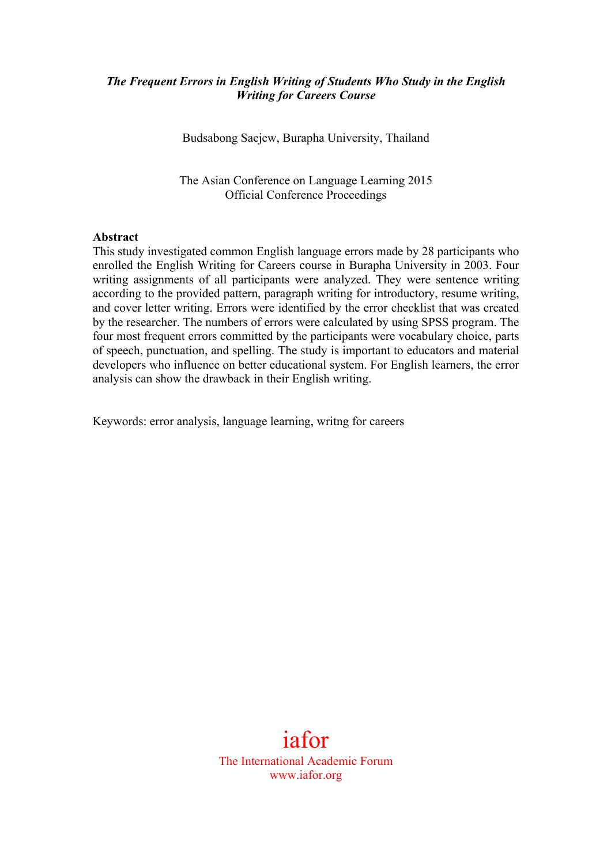### *The Frequent Errors in English Writing of Students Who Study in the English Writing for Careers Course*

Budsabong Saejew, Burapha University, Thailand

The Asian Conference on Language Learning 2015 Official Conference Proceedings

#### **Abstract**

This study investigated common English language errors made by 28 participants who enrolled the English Writing for Careers course in Burapha University in 2003. Four writing assignments of all participants were analyzed. They were sentence writing according to the provided pattern, paragraph writing for introductory, resume writing, and cover letter writing. Errors were identified by the error checklist that was created by the researcher. The numbers of errors were calculated by using SPSS program. The four most frequent errors committed by the participants were vocabulary choice, parts of speech, punctuation, and spelling. The study is important to educators and material developers who influence on better educational system. For English learners, the error analysis can show the drawback in their English writing.

Keywords: error analysis, language learning, writng for careers

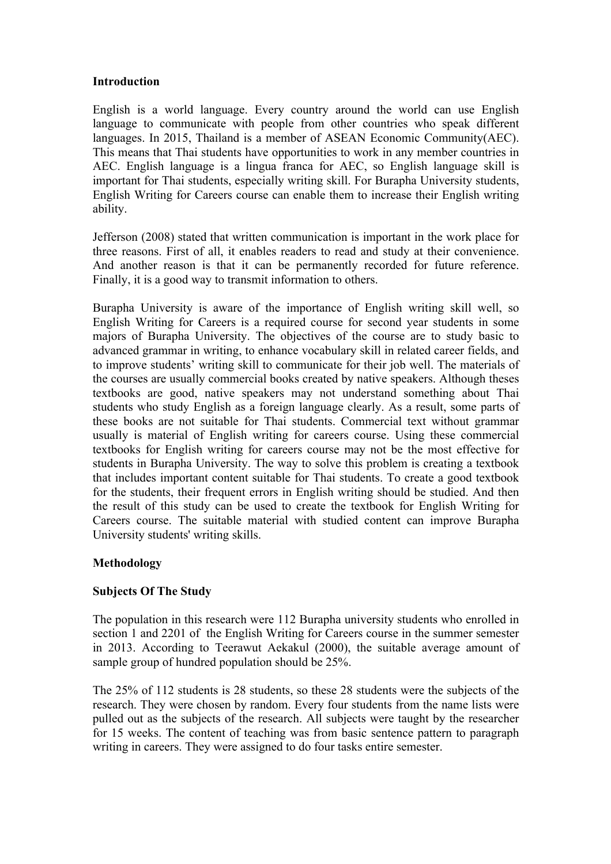#### **Introduction**

English is a world language. Every country around the world can use English language to communicate with people from other countries who speak different languages. In 2015, Thailand is a member of ASEAN Economic Community(AEC). This means that Thai students have opportunities to work in any member countries in AEC. English language is a lingua franca for AEC, so English language skill is important for Thai students, especially writing skill. For Burapha University students, English Writing for Careers course can enable them to increase their English writing ability.

Jefferson (2008) stated that written communication is important in the work place for three reasons. First of all, it enables readers to read and study at their convenience. And another reason is that it can be permanently recorded for future reference. Finally, it is a good way to transmit information to others.

Burapha University is aware of the importance of English writing skill well, so English Writing for Careers is a required course for second year students in some majors of Burapha University. The objectives of the course are to study basic to advanced grammar in writing, to enhance vocabulary skill in related career fields, and to improve students' writing skill to communicate for their job well. The materials of the courses are usually commercial books created by native speakers. Although theses textbooks are good, native speakers may not understand something about Thai students who study English as a foreign language clearly. As a result, some parts of these books are not suitable for Thai students. Commercial text without grammar usually is material of English writing for careers course. Using these commercial textbooks for English writing for careers course may not be the most effective for students in Burapha University. The way to solve this problem is creating a textbook that includes important content suitable for Thai students. To create a good textbook for the students, their frequent errors in English writing should be studied. And then the result of this study can be used to create the textbook for English Writing for Careers course. The suitable material with studied content can improve Burapha University students' writing skills.

## **Methodology**

## **Subjects Of The Study**

The population in this research were 112 Burapha university students who enrolled in section 1 and 2201 of the English Writing for Careers course in the summer semester in 2013. According to Teerawut Aekakul (2000), the suitable average amount of sample group of hundred population should be 25%.

The 25% of 112 students is 28 students, so these 28 students were the subjects of the research. They were chosen by random. Every four students from the name lists were pulled out as the subjects of the research. All subjects were taught by the researcher for 15 weeks. The content of teaching was from basic sentence pattern to paragraph writing in careers. They were assigned to do four tasks entire semester.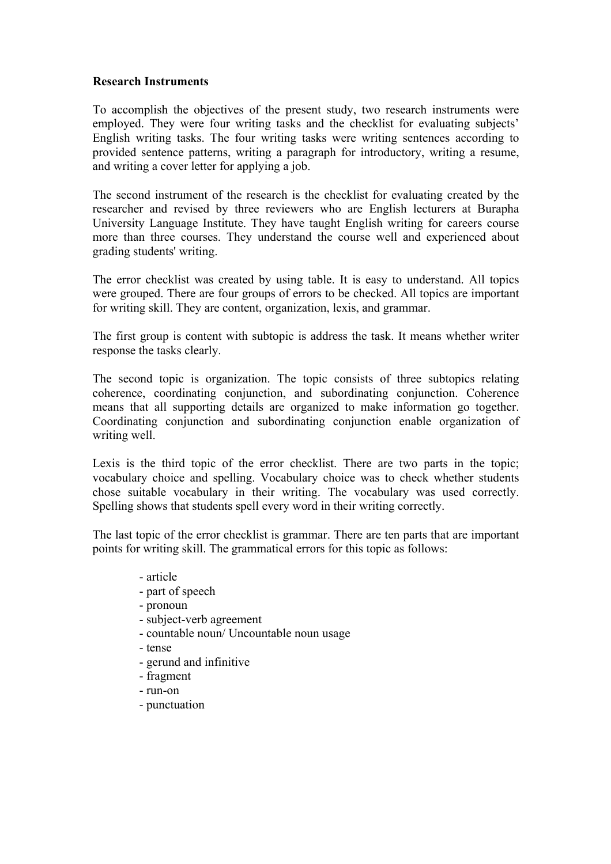#### **Research Instruments**

To accomplish the objectives of the present study, two research instruments were employed. They were four writing tasks and the checklist for evaluating subjects' English writing tasks. The four writing tasks were writing sentences according to provided sentence patterns, writing a paragraph for introductory, writing a resume, and writing a cover letter for applying a job.

The second instrument of the research is the checklist for evaluating created by the researcher and revised by three reviewers who are English lecturers at Burapha University Language Institute. They have taught English writing for careers course more than three courses. They understand the course well and experienced about grading students' writing.

The error checklist was created by using table. It is easy to understand. All topics were grouped. There are four groups of errors to be checked. All topics are important for writing skill. They are content, organization, lexis, and grammar.

The first group is content with subtopic is address the task. It means whether writer response the tasks clearly.

The second topic is organization. The topic consists of three subtopics relating coherence, coordinating conjunction, and subordinating conjunction. Coherence means that all supporting details are organized to make information go together. Coordinating conjunction and subordinating conjunction enable organization of writing well.

Lexis is the third topic of the error checklist. There are two parts in the topic; vocabulary choice and spelling. Vocabulary choice was to check whether students chose suitable vocabulary in their writing. The vocabulary was used correctly. Spelling shows that students spell every word in their writing correctly.

The last topic of the error checklist is grammar. There are ten parts that are important points for writing skill. The grammatical errors for this topic as follows:

- article
- part of speech
- pronoun
- subject-verb agreement
- countable noun/ Uncountable noun usage
- tense
- gerund and infinitive
- fragment
- run-on
- punctuation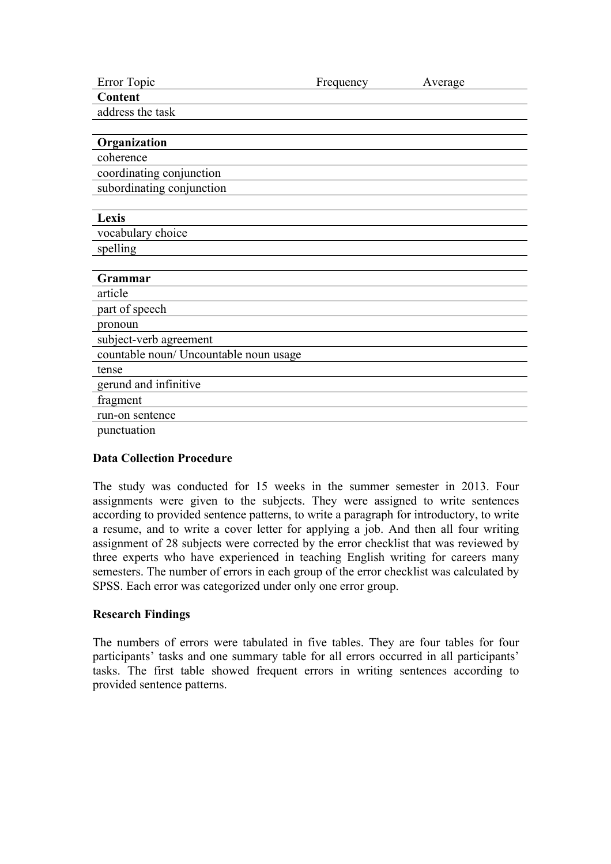| Error Topic                            | Frequency | Average |
|----------------------------------------|-----------|---------|
| Content                                |           |         |
| address the task                       |           |         |
|                                        |           |         |
| Organization                           |           |         |
| coherence                              |           |         |
| coordinating conjunction               |           |         |
| subordinating conjunction              |           |         |
|                                        |           |         |
| Lexis                                  |           |         |
| vocabulary choice                      |           |         |
| spelling                               |           |         |
|                                        |           |         |
| Grammar                                |           |         |
| article                                |           |         |
| part of speech                         |           |         |
| pronoun                                |           |         |
| subject-verb agreement                 |           |         |
| countable noun/ Uncountable noun usage |           |         |
| tense                                  |           |         |
| gerund and infinitive                  |           |         |
| fragment                               |           |         |
| run-on sentence                        |           |         |
| punctuation                            |           |         |

## **Data Collection Procedure**

The study was conducted for 15 weeks in the summer semester in 2013. Four assignments were given to the subjects. They were assigned to write sentences according to provided sentence patterns, to write a paragraph for introductory, to write a resume, and to write a cover letter for applying a job. And then all four writing assignment of 28 subjects were corrected by the error checklist that was reviewed by three experts who have experienced in teaching English writing for careers many semesters. The number of errors in each group of the error checklist was calculated by SPSS. Each error was categorized under only one error group.

#### **Research Findings**

The numbers of errors were tabulated in five tables. They are four tables for four participants' tasks and one summary table for all errors occurred in all participants' tasks. The first table showed frequent errors in writing sentences according to provided sentence patterns.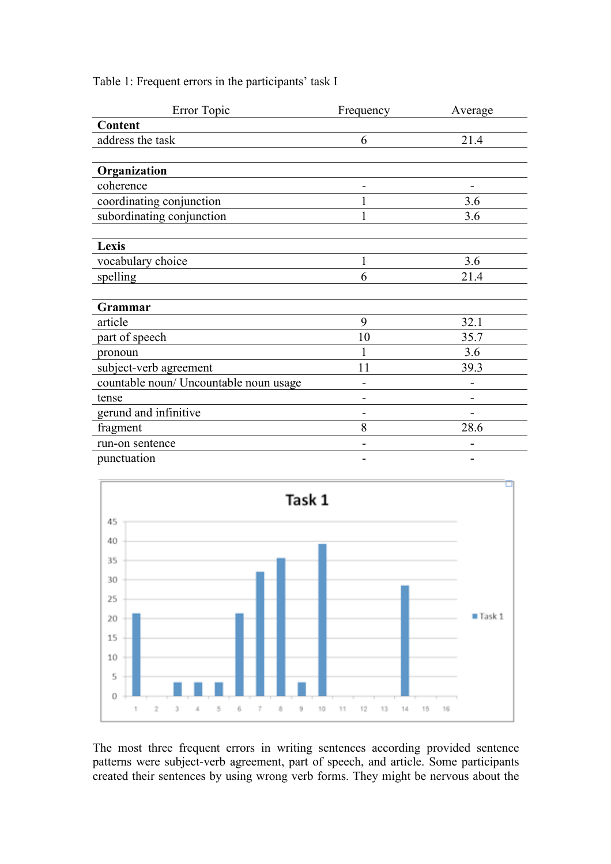| Error Topic                            | Frequency | Average        |
|----------------------------------------|-----------|----------------|
| Content                                |           |                |
| address the task                       | 6         | 21.4           |
|                                        |           |                |
| Organization                           |           |                |
| coherence                              |           |                |
| coordinating conjunction               |           | 3.6            |
| subordinating conjunction              |           | 3.6            |
|                                        |           |                |
| Lexis                                  |           |                |
| vocabulary choice                      | 1         | 3.6            |
| spelling                               | 6         | 21.4           |
|                                        |           |                |
| <b>Grammar</b>                         |           |                |
| article                                | 9         | 32.1           |
| part of speech                         | 10        | 35.7           |
| pronoun                                |           | 3.6            |
| subject-verb agreement                 | 11        | 39.3           |
| countable noun/ Uncountable noun usage |           |                |
| tense                                  |           |                |
| gerund and infinitive                  |           |                |
| fragment                               | 8         | 28.6           |
| run-on sentence                        |           |                |
| punctuation                            |           | $\overline{a}$ |





The most three frequent errors in writing sentences according provided sentence patterns were subject-verb agreement, part of speech, and article. Some participants created their sentences by using wrong verb forms. They might be nervous about the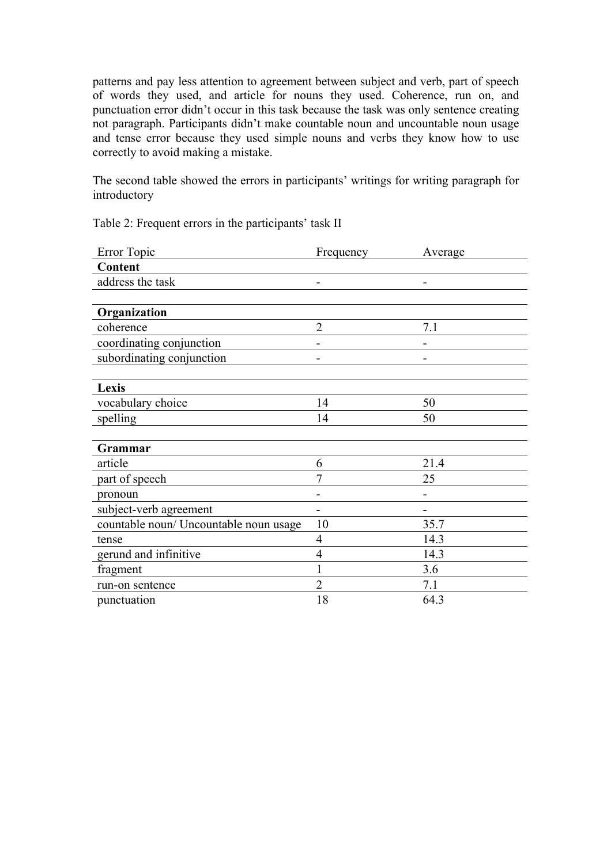patterns and pay less attention to agreement between subject and verb, part of speech of words they used, and article for nouns they used. Coherence, run on, and punctuation error didn't occur in this task because the task was only sentence creating not paragraph. Participants didn't make countable noun and uncountable noun usage and tense error because they used simple nouns and verbs they know how to use correctly to avoid making a mistake.

The second table showed the errors in participants' writings for writing paragraph for introductory

Table 2: Frequent errors in the participants' task II

| Error Topic                            | Frequency      | Average |
|----------------------------------------|----------------|---------|
| Content                                |                |         |
| address the task                       |                |         |
|                                        |                |         |
| Organization                           |                |         |
| coherence                              | $\overline{2}$ | 7.1     |
| coordinating conjunction               |                |         |
| subordinating conjunction              |                |         |
|                                        |                |         |
| Lexis                                  |                |         |
| vocabulary choice                      | 14             | 50      |
| spelling                               | 14             | 50      |
|                                        |                |         |
| Grammar                                |                |         |
| article                                | 6              | 21.4    |
| part of speech                         | 7              | 25      |
| pronoun                                |                |         |
| subject-verb agreement                 |                |         |
| countable noun/ Uncountable noun usage | 10             | 35.7    |
| tense                                  | 4              | 14.3    |
| gerund and infinitive                  | 4              | 14.3    |
| fragment                               |                | 3.6     |
| run-on sentence                        | $\overline{2}$ | 7.1     |
| punctuation                            | 18             | 64.3    |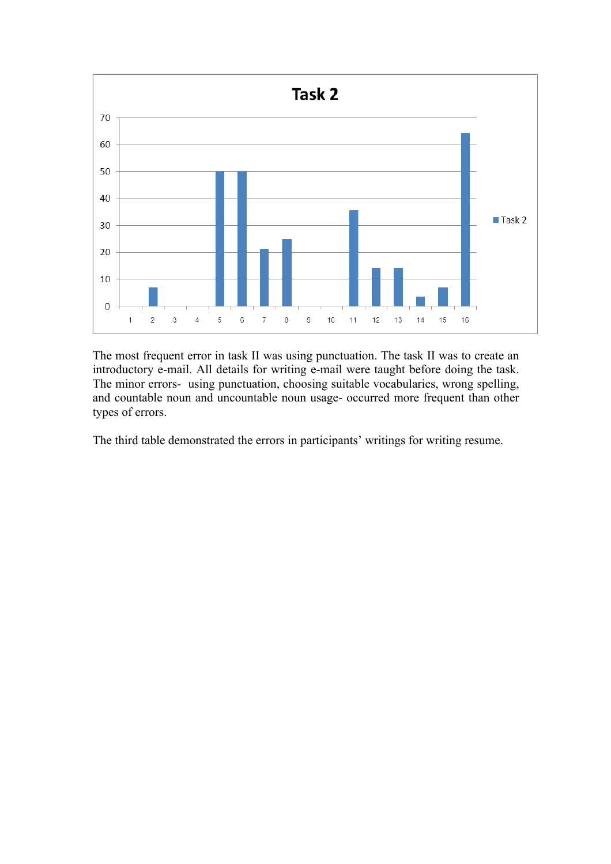

The most frequent error in task II was using punctuation. The task II was to create an introductory e-mail. All details for writing e-mail were taught before doing the task. The minor errors- using punctuation, choosing suitable vocabularies, wrong spelling, and countable noun and uncountable noun usage- occurred more frequent than other types of errors.

The third table demonstrated the errors in participants' writings for writing resume.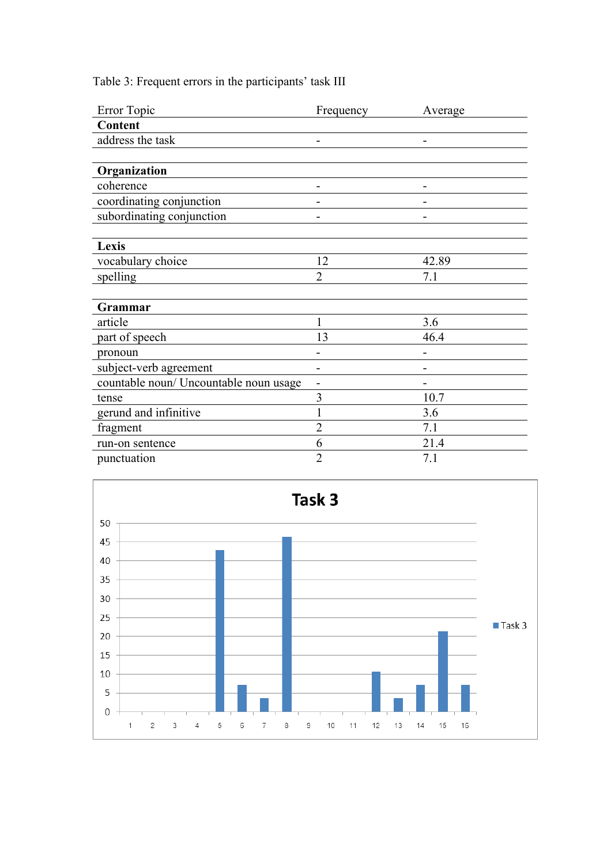Table 3: Frequent errors in the participants' task III

| Error Topic                            | Frequency      | Average |
|----------------------------------------|----------------|---------|
| Content                                |                |         |
| address the task                       |                |         |
|                                        |                |         |
| Organization                           |                |         |
| coherence                              |                |         |
| coordinating conjunction               |                |         |
| subordinating conjunction              |                |         |
|                                        |                |         |
| Lexis                                  |                |         |
| vocabulary choice                      | 12             | 42.89   |
| spelling                               | $\overline{2}$ | 7.1     |
|                                        |                |         |
| Grammar                                |                |         |
| article                                | 1              | 3.6     |
| part of speech                         | 13             | 46.4    |
| pronoun                                |                |         |
| subject-verb agreement                 |                |         |
| countable noun/ Uncountable noun usage | -              |         |
| tense                                  | 3              | 10.7    |
| gerund and infinitive                  |                | 3.6     |
| fragment                               | $\overline{2}$ | 7.1     |
| run-on sentence                        | 6              | 21.4    |
| punctuation                            | $\overline{2}$ | 7.1     |

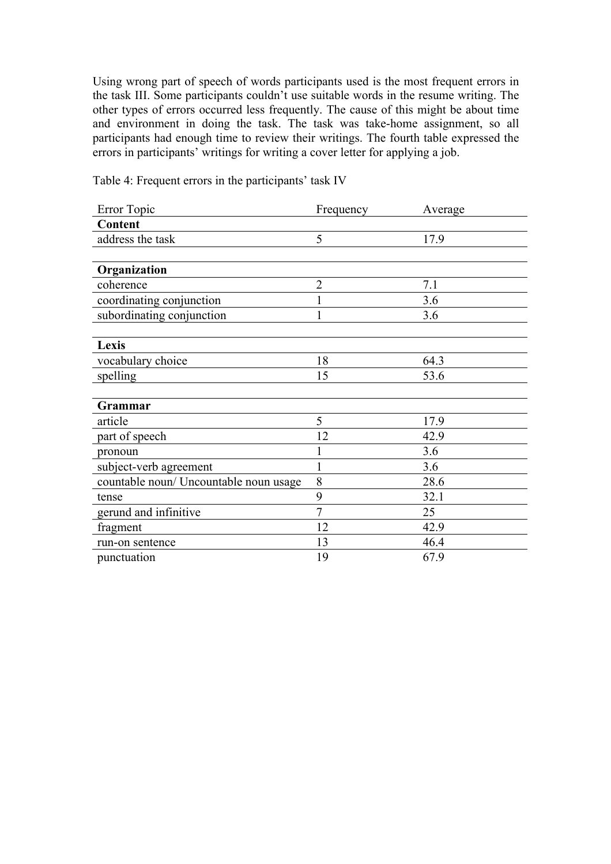Using wrong part of speech of words participants used is the most frequent errors in the task III. Some participants couldn't use suitable words in the resume writing. The other types of errors occurred less frequently. The cause of this might be about time and environment in doing the task. The task was take-home assignment, so all participants had enough time to review their writings. The fourth table expressed the errors in participants' writings for writing a cover letter for applying a job.

| Error Topic                            | Frequency      | Average |
|----------------------------------------|----------------|---------|
| Content                                |                |         |
| address the task                       | 5              | 17.9    |
|                                        |                |         |
| Organization                           |                |         |
| coherence                              | $\overline{2}$ | 7.1     |
| coordinating conjunction               |                | 3.6     |
| subordinating conjunction              |                | 3.6     |
|                                        |                |         |
| Lexis                                  |                |         |
| vocabulary choice                      | 18             | 64.3    |
| spelling                               | 15             | 53.6    |
|                                        |                |         |
| Grammar                                |                |         |
| article                                | 5              | 17.9    |
| part of speech                         | 12             | 42.9    |
| pronoun                                |                | 3.6     |
| subject-verb agreement                 |                | 3.6     |
| countable noun/ Uncountable noun usage | 8              | 28.6    |
| tense                                  | 9              | 32.1    |
| gerund and infinitive                  | $\tau$         | 25      |
| fragment                               | 12             | 42.9    |
| run-on sentence                        | 13             | 46.4    |
| punctuation                            | 19             | 67.9    |

Table 4: Frequent errors in the participants' task IV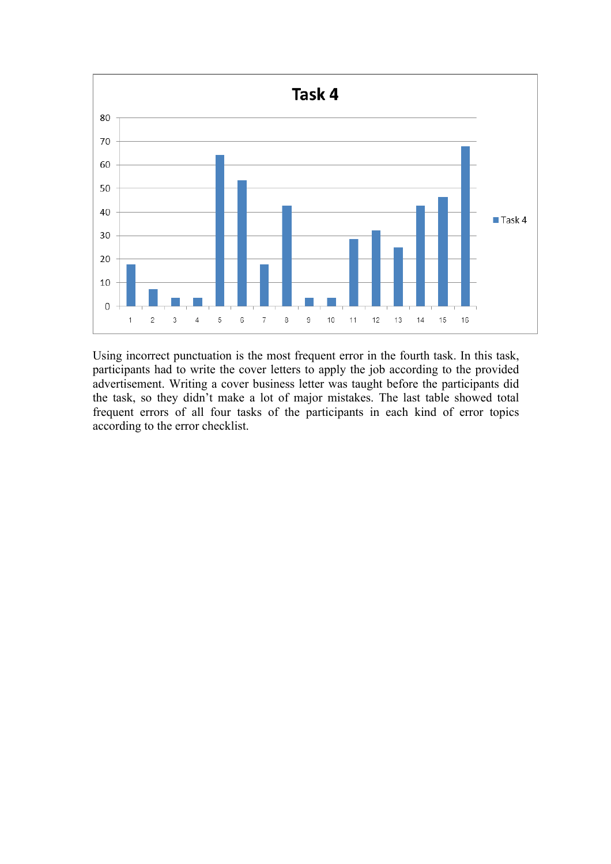

Using incorrect punctuation is the most frequent error in the fourth task. In this task, participants had to write the cover letters to apply the job according to the provided advertisement. Writing a cover business letter was taught before the participants did the task, so they didn't make a lot of major mistakes. The last table showed total frequent errors of all four tasks of the participants in each kind of error topics according to the error checklist.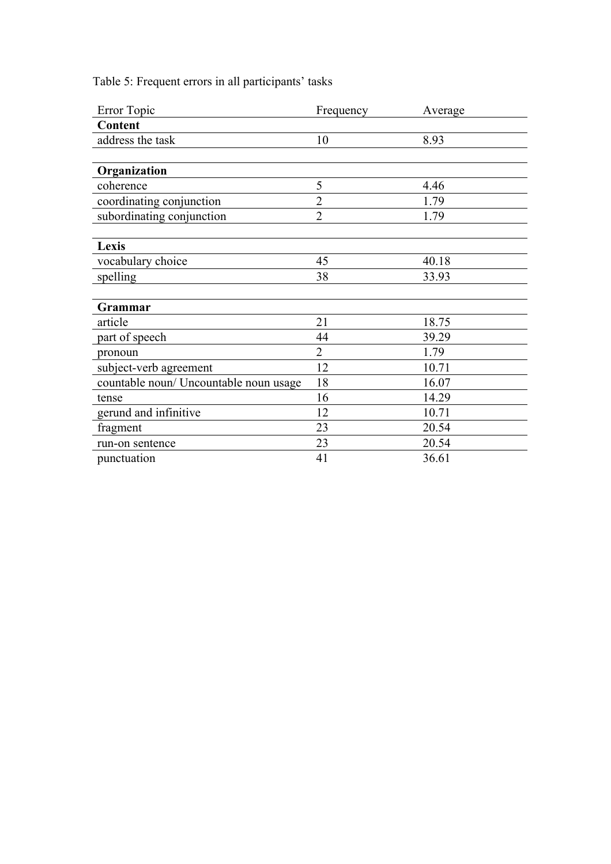Table 5: Frequent errors in all participants' tasks

| Error Topic                            | Frequency      | Average |
|----------------------------------------|----------------|---------|
| Content                                |                |         |
| address the task                       | 10             | 8.93    |
|                                        |                |         |
| Organization                           |                |         |
| coherence                              | 5              | 4.46    |
| coordinating conjunction               | $\overline{2}$ | 1.79    |
| subordinating conjunction              | $\overline{2}$ | 1.79    |
|                                        |                |         |
| Lexis                                  |                |         |
| vocabulary choice                      | 45             | 40.18   |
| spelling                               | 38             | 33.93   |
|                                        |                |         |
| Grammar                                |                |         |
| article                                | 21             | 18.75   |
| part of speech                         | 44             | 39.29   |
| pronoun                                | $\overline{2}$ | 1.79    |
| subject-verb agreement                 | 12             | 10.71   |
| countable noun/ Uncountable noun usage | 18             | 16.07   |
| tense                                  | 16             | 14.29   |
| gerund and infinitive                  | 12             | 10.71   |
| fragment                               | 23             | 20.54   |
| run-on sentence                        | 23             | 20.54   |
| punctuation                            | 41             | 36.61   |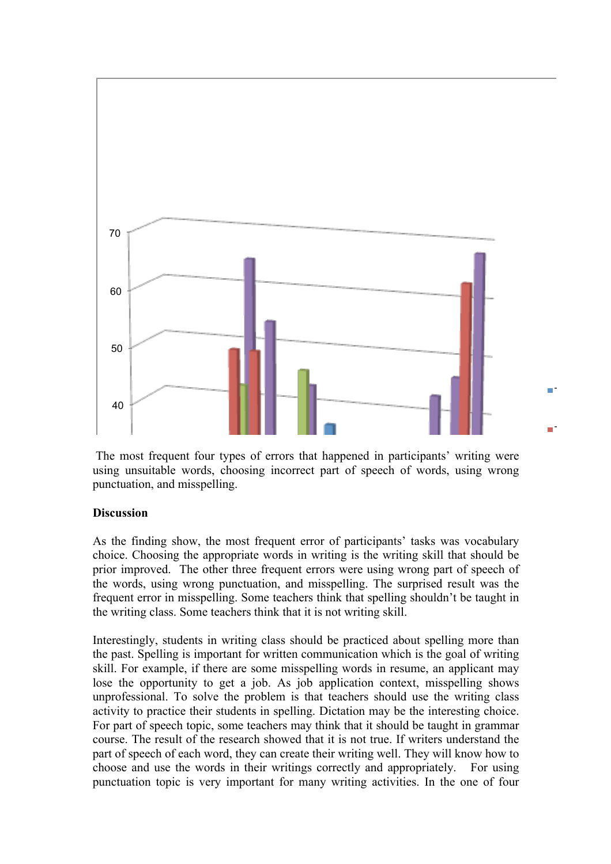

The most frequent four types of errors that happened in participants' writing were using unsuitable words, choosing incorrect part of speech of words, using wrong punctuation, and misspelling.

# Discussion

prior improved. The other three frequent errors were using wrong part of speech of As the finding show, the most frequent error of participants' tasks was vocabulary choice. Choosing the appropriate words in writing is the writing skill that should be the words, using wrong punctuation, and misspelling. The surprised result was the frequent error in misspelling. Some teachers think that spelling shouldn't be taught in the writing class. Some teachers think that it is not writing skill.

skill. For example, if there are some misspelling words in resume, an applicant may (I), students in writing class should be practiced about spelling<br>pelling is important for written communication which is the goa<br>example, if there are some misspelling words in resume, an ap Interestingly, students in writing class should be practiced about spelling more than the past. Spelling is important for written communication which is the goal of writing lose the opportunity to get a job. As job application context, misspelling shows unprofessional. To solve the problem is that teachers should use the writing class activity to practice their students in spelling. Dictation may be the interesting choice. For part of speech topic, some teachers may think that it should be taught in grammar course. The result of the research showed that it is not true. If writers understand the part of speech of each word, they can create their writing well. They will know how to choose and use the words in their writings correctly and appropriately. For using punctuation topic is very important for many writing activities. In the one of four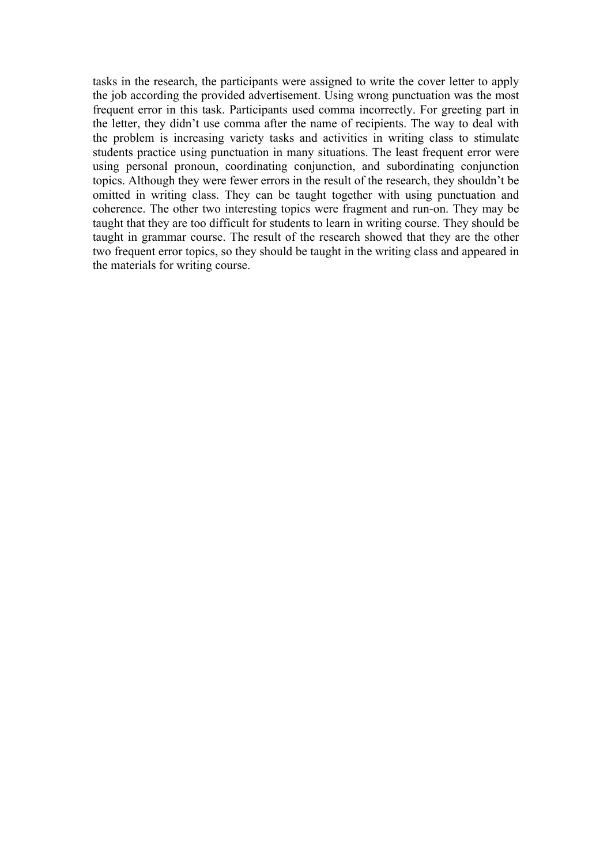tasks in the research, the participants were assigned to write the cover letter to apply the job according the provided advertisement. Using wrong punctuation was the most frequent error in this task. Participants used comma incorrectly. For greeting part in the letter, they didn't use comma after the name of recipients. The way to deal with the problem is increasing variety tasks and activities in writing class to stimulate students practice using punctuation in many situations. The least frequent error were using personal pronoun, coordinating conjunction, and subordinating conjunction topics. Although they were fewer errors in the result of the research, they shouldn't be omitted in writing class. They can be taught together with using punctuation and coherence. The other two interesting topics were fragment and run-on. They may be taught that they are too difficult for students to learn in writing course. They should be taught in grammar course. The result of the research showed that they are the other two frequent error topics, so they should be taught in the writing class and appeared in the materials for writing course.